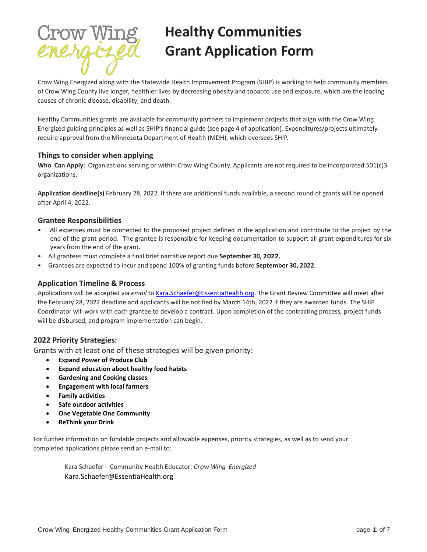

# **Healthy Communities Grant Application Form**

Crow Wing Energized along with the Statewide Health Improvement Program (SHIP) is working to help community members of Crow Wing County live longer, healthier lives by decreasing obesity and tobacco use and exposure, which are the leading causes of chronic disease, disability, and death.

Healthy Communities grants are available for community partners to implement projects that align with the Crow Wing Energized guiding principles as well as SHIP's financial guide (see page 4 of application). Expenditures/projects ultimately require approval from the Minnesota Department of Health (MDH), which oversees SHIP.

## **Things to consider when applying**

**Who Can Apply:** Organizations serving or within Crow Wing County. Applicants are not required to be incorporated 501(c)3 organizations.

**Application deadline(s)** February 28, 2022. If there are additional funds available, a second round of grants will be opened after April 4, 2022.

## **Grantee Responsibilities**

- All expenses must be connected to the proposed project defined in the application and contribute to the project by the end of the grant period. The grantee is responsible for keeping documentation to support all grant expenditures for six years from the end of the grant.
- All grantees must complete a final brief narrative report due **September 30, 2022.**
- Grantees are expected to incur and spend 100% of granting funds before **September 30, 2022.**

## **Application Timeline & Process**

Applications will be accepted via *email* to [Kara.Schaefer@EssentiaHealth.org.](mailto:Kara.Schaefer@EssentiaHealth.org) The Grant Review Committee will meet after the February 28, 2022 deadline and applicants will be notified by March 14th, 2022 if they are awarded funds. The SHIP Coordinator will work with each grantee to develop a contract. Upon completion of the contracting process, project funds will be disbursed, and program implementation can begin.

## **2022 Priority Strategies:**

Grants with at least one of these strategies will be given priority:

- **Expand Power of Produce Club**
- **Expand education about healthy food habits**
- **Gardening and Cooking classes**
- **Engagement with local farmers**
- **Family activities**
- **Safe outdoor activities**
- **One Vegetable One Community**
- **ReThink your Drink**

For further information on fundable projects and allowable expenses, priority strategies, as well as to send your completed applications please send an e-mail to:

Kara Schaefer – Community Health Educator, *Crow Wing Energized* Kara.Schaefer@EssentiaHealth.org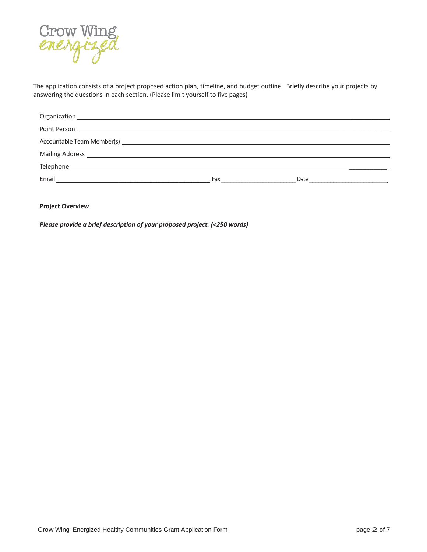

The application consists of a project proposed action plan, timeline, and budget outline. Briefly describe your projects by answering the questions in each section. (Please limit yourself to five pages)

| Accountable Team Member(s) Learner and Contract and Contract and Contract and Contract and Contract and Contract and Contract and Contract and Contract and Contract and Contract and Contract and Contract and Contract and C |     |      |  |
|--------------------------------------------------------------------------------------------------------------------------------------------------------------------------------------------------------------------------------|-----|------|--|
|                                                                                                                                                                                                                                |     |      |  |
|                                                                                                                                                                                                                                |     |      |  |
| Email<br><u> 1980 - Jan Samuel Barbara, martin al-Amerikaansk politik (</u>                                                                                                                                                    | Fax | Date |  |

### **Project Overview**

*Please provide a brief description of your proposed project. (<250 words)*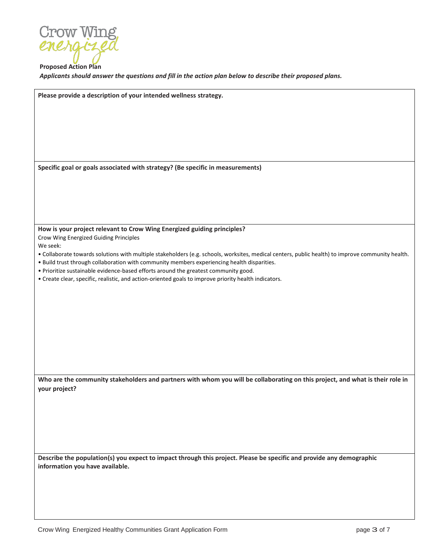

**Proposed Action Plan** *Applicants should answer the questions and fill in the action plan below to describe their proposed plans.*

| Please provide a description of your intended wellness strategy.                                                                                  |
|---------------------------------------------------------------------------------------------------------------------------------------------------|
|                                                                                                                                                   |
|                                                                                                                                                   |
|                                                                                                                                                   |
|                                                                                                                                                   |
|                                                                                                                                                   |
|                                                                                                                                                   |
|                                                                                                                                                   |
|                                                                                                                                                   |
| Specific goal or goals associated with strategy? (Be specific in measurements)                                                                    |
|                                                                                                                                                   |
|                                                                                                                                                   |
|                                                                                                                                                   |
|                                                                                                                                                   |
|                                                                                                                                                   |
|                                                                                                                                                   |
|                                                                                                                                                   |
| How is your project relevant to Crow Wing Energized guiding principles?                                                                           |
| Crow Wing Energized Guiding Principles                                                                                                            |
| We seek:                                                                                                                                          |
| . Collaborate towards solutions with multiple stakeholders (e.g. schools, worksites, medical centers, public health) to improve community health. |
| . Build trust through collaboration with community members experiencing health disparities.                                                       |
| . Prioritize sustainable evidence-based efforts around the greatest community good.                                                               |
| • Create clear, specific, realistic, and action-oriented goals to improve priority health indicators.                                             |
|                                                                                                                                                   |
|                                                                                                                                                   |
|                                                                                                                                                   |
|                                                                                                                                                   |
|                                                                                                                                                   |
|                                                                                                                                                   |
|                                                                                                                                                   |
|                                                                                                                                                   |
|                                                                                                                                                   |
|                                                                                                                                                   |
|                                                                                                                                                   |
|                                                                                                                                                   |
| Who are the community stakeholders and partners with whom you will be collaborating on this project, and what is their role in                    |
| your project?                                                                                                                                     |
|                                                                                                                                                   |
|                                                                                                                                                   |
|                                                                                                                                                   |
|                                                                                                                                                   |
|                                                                                                                                                   |
|                                                                                                                                                   |
|                                                                                                                                                   |
|                                                                                                                                                   |
| Describe the population(s) you expect to impact through this project. Please be specific and provide any demographic                              |
| information you have available.                                                                                                                   |
|                                                                                                                                                   |
|                                                                                                                                                   |
|                                                                                                                                                   |
|                                                                                                                                                   |
|                                                                                                                                                   |
|                                                                                                                                                   |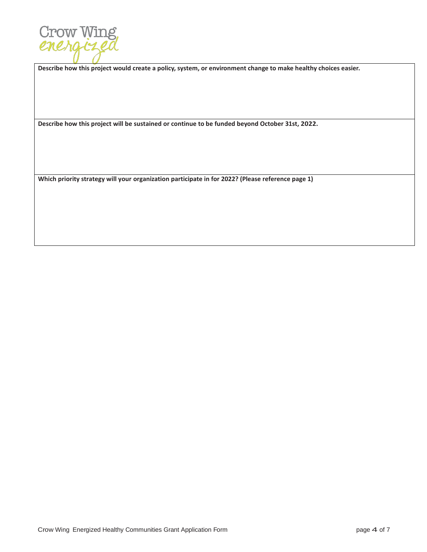

**Describe how this project would create a policy, system, or environment change to make healthy choices easier.**

**Describe how this project will be sustained or continue to be funded beyond October 31st, 2022.**

**Which priority strategy will your organization participate in for 2022? (Please reference page 1)**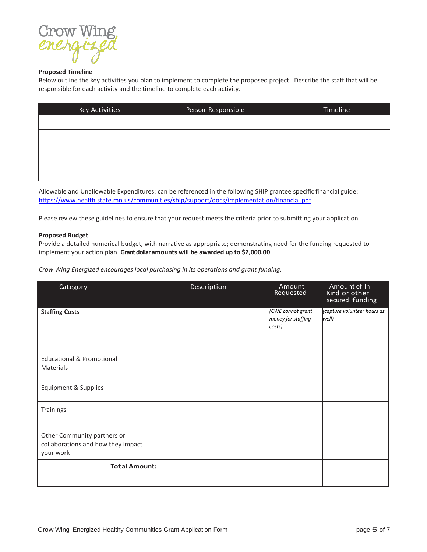

#### **Proposed Timeline**

Below outline the key activities you plan to implement to complete the proposed project. Describe the staff that will be responsible for each activity and the timeline to complete each activity.

| Key Activities | Person Responsible | Timeline |
|----------------|--------------------|----------|
|                |                    |          |
|                |                    |          |
|                |                    |          |
|                |                    |          |
|                |                    |          |

Allowable and Unallowable Expenditures: can be referenced in the following SHIP grantee specific financial guide: https://www.health.state.mn.us/communities/ship/support/docs/implementation/financial.pdf

Please review these guidelines to ensure that your request meets the criteria prior to submitting your application.

#### **Proposed Budget**

Provide a detailed numerical budget, with narrative as appropriate; demonstrating need for the funding requested to implement your action plan. **Grant dollar amounts will be awarded up to \$2,000.00**.

*Crow Wing Energized encourages local purchasing in its operations and grant funding.* 

| Category                                                                       | Description | Amount<br>Requested                               | Amount of In<br>Kind or other<br>secured funding |
|--------------------------------------------------------------------------------|-------------|---------------------------------------------------|--------------------------------------------------|
| <b>Staffing Costs</b>                                                          |             | (CWE cannot grant<br>money for staffing<br>costs) | (capture volunteer hours as<br>well)             |
| <b>Educational &amp; Promotional</b><br>Materials                              |             |                                                   |                                                  |
| <b>Equipment &amp; Supplies</b>                                                |             |                                                   |                                                  |
| Trainings                                                                      |             |                                                   |                                                  |
| Other Community partners or<br>collaborations and how they impact<br>your work |             |                                                   |                                                  |
| <b>Total Amount:</b>                                                           |             |                                                   |                                                  |